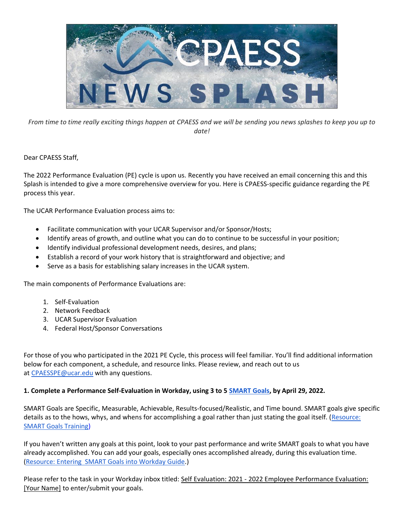

*From time to time really exciting things happen at CPAESS and we will be sending you news splashes to keep you up to date!*

Dear CPAESS Staff,

The 2022 Performance Evaluation (PE) cycle is upon us. Recently you have received an email concerning this and this Splash is intended to give a more comprehensive overview for you. Here is CPAESS-specific guidance regarding the PE process this year.

The UCAR Performance Evaluation process aims to:

- Facilitate communication with your UCAR Supervisor and/or Sponsor/Hosts;
- Identify areas of growth, and outline what you can do to continue to be successful in your position;
- Identify individual professional development needs, desires, and plans;
- Establish a record of your work history that is straightforward and objective; and
- Serve as a basis for establishing salary increases in the UCAR system.

The main components of Performance Evaluations are:

- 1. Self-Evaluation
- 2. Network Feedback
- 3. UCAR Supervisor Evaluation
- 4. Federal Host/Sponsor Conversations

For those of you who participated in the 2021 PE Cycle, this process will feel familiar. You'll find additional information below for each component, a schedule, and resource links. Please review, and reach out to us at **[CPAESSPE@ucar.edu](mailto:CPAESSPE@ucar.edu)** with any questions.

#### **1. Complete a Performance Self-Evaluation in Workday, using 3 to 5 [SMART Goals,](https://sundog.ucar.edu/Interact/Pages/Content/Document.aspx?id=5001#SMART%20Goals) by April 29, 2022.**

SMART Goals are Specific, Measurable, Achievable, Results-focused/Realistic, and Time bound. SMART goals give specific details as to the hows, whys, and whens for accomplishing a goal rather than just stating the goal itself. [\(Resource:](https://wd5.myworkday.com/ucar/learning/course/2f8121393d9c017331fb4761bc01ea65?type=9882927d138b100019b928e75843018d)  [SMART Goals Training\)](https://wd5.myworkday.com/ucar/learning/course/2f8121393d9c017331fb4761bc01ea65?type=9882927d138b100019b928e75843018d)

If you haven't written any goals at this point, look to your past performance and write SMART goals to what you have already accomplished. You can add your goals, especially ones accomplished already, during this evaluation time. (Resource: Entering [SMART Goals into Workday Guide.](https://operations.ucar.edu/sites/default/files/6789/entering_goals_into_workday_sbs.pdf))

Please refer to the task in your Workday inbox titled: Self Evaluation: 2021 - 2022 Employee Performance Evaluation: [Your Name] to enter/submit your goals.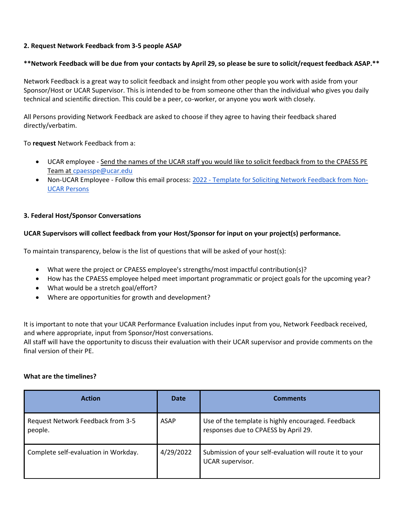#### **2. Request Network Feedback from 3-5 people ASAP**

# **\*\*Network Feedback will be due from your contacts by April 29, so please be sure to solicit/request feedback ASAP.\*\***

Network Feedback is a great way to solicit feedback and insight from other people you work with aside from your Sponsor/Host or UCAR Supervisor. This is intended to be from someone other than the individual who gives you daily technical and scientific direction. This could be a peer, co-worker, or anyone you work with closely.

All Persons providing Network Feedback are asked to choose if they agree to having their feedback shared directly/verbatim.

To **request** Network Feedback from a:

- UCAR employee Send the names of the UCAR staff you would like to solicit feedback from to the CPAESS PE Team at [cpaesspe@ucar.edu](mailto:cpaesspe@ucar.edu)
- Non-UCAR Employee Follow this email process: 2022 [Template for Soliciting Network Feedback from Non-](https://docs.google.com/document/d/1aIaRpRthgQ9p5C-8CICQo8nGuAZjIlWi_31nNIlxBTk/edit?usp=sharing)[UCAR Persons](https://docs.google.com/document/d/1aIaRpRthgQ9p5C-8CICQo8nGuAZjIlWi_31nNIlxBTk/edit?usp=sharing)

# **3. Federal Host/Sponsor Conversations**

# **UCAR Supervisors will collect feedback from your Host/Sponsor for input on your project(s) performance.**

To maintain transparency, below is the list of questions that will be asked of your host(s):

- What were the project or CPAESS employee's strengths/most impactful contribution(s)?
- How has the CPAESS employee helped meet important programmatic or project goals for the upcoming year?
- What would be a stretch goal/effort?
- Where are opportunities for growth and development?

It is important to note that your UCAR Performance Evaluation includes input from you, Network Feedback received, and where appropriate, input from Sponsor/Host conversations.

All staff will have the opportunity to discuss their evaluation with their UCAR supervisor and provide comments on the final version of their PE.

#### **What are the timelines?**

| <b>Action</b>                                | Date        | <b>Comments</b>                                                                            |
|----------------------------------------------|-------------|--------------------------------------------------------------------------------------------|
| Request Network Feedback from 3-5<br>people. | <b>ASAP</b> | Use of the template is highly encouraged. Feedback<br>responses due to CPAESS by April 29. |
| Complete self-evaluation in Workday.         | 4/29/2022   | Submission of your self-evaluation will route it to your<br>UCAR supervisor.               |